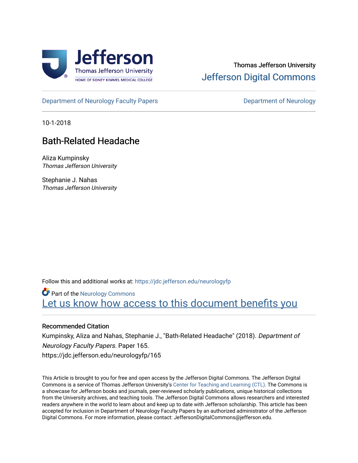

## Thomas Jefferson University [Jefferson Digital Commons](https://jdc.jefferson.edu/)

[Department of Neurology Faculty Papers](https://jdc.jefferson.edu/neurologyfp) **Department of Neurology** 

10-1-2018

# Bath-Related Headache

Aliza Kumpinsky Thomas Jefferson University

Stephanie J. Nahas Thomas Jefferson University

Follow this and additional works at: [https://jdc.jefferson.edu/neurologyfp](https://jdc.jefferson.edu/neurologyfp?utm_source=jdc.jefferson.edu%2Fneurologyfp%2F165&utm_medium=PDF&utm_campaign=PDFCoverPages) 

**Part of the [Neurology Commons](http://network.bepress.com/hgg/discipline/692?utm_source=jdc.jefferson.edu%2Fneurologyfp%2F165&utm_medium=PDF&utm_campaign=PDFCoverPages)** Let us know how access to this document benefits you

## Recommended Citation

Kumpinsky, Aliza and Nahas, Stephanie J., "Bath-Related Headache" (2018). Department of Neurology Faculty Papers. Paper 165. https://jdc.jefferson.edu/neurologyfp/165

This Article is brought to you for free and open access by the Jefferson Digital Commons. The Jefferson Digital Commons is a service of Thomas Jefferson University's [Center for Teaching and Learning \(CTL\)](http://www.jefferson.edu/university/teaching-learning.html/). The Commons is a showcase for Jefferson books and journals, peer-reviewed scholarly publications, unique historical collections from the University archives, and teaching tools. The Jefferson Digital Commons allows researchers and interested readers anywhere in the world to learn about and keep up to date with Jefferson scholarship. This article has been accepted for inclusion in Department of Neurology Faculty Papers by an authorized administrator of the Jefferson Digital Commons. For more information, please contact: JeffersonDigitalCommons@jefferson.edu.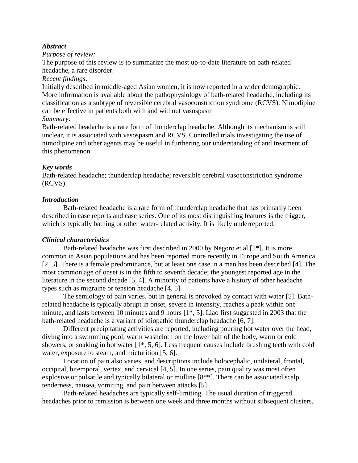### *Abstract*

#### *Purpose of review:*

The purpose of this review is to summarize the most up-to-date literature on bath-related headache, a rare disorder.

## *Recent findings:*

Initially described in middle-aged Asian women, it is now reported in a wider demographic. More information is available about the pathophysiology of bath-related headache, including its classification as a subtype of reversible cerebral vasoconstriction syndrome (RCVS). Nimodipine can be effective in patients both with and without vasospasm

#### *Summary:*

Bath-related headache is a rare form of thunderclap headache. Although its mechanism is still unclear, it is associated with vasospasm and RCVS. Controlled trials investigating the use of nimodipine and other agents may be useful in furthering our understanding of and treatment of this phenomenon.

#### *Key words*

Bath-related headache; thunderclap headache; reversible cerebral vasoconstriction syndrome (RCVS)

#### *Introduction*

Bath-related headache is a rare form of thunderclap headache that has primarily been described in case reports and case series. One of its most distinguishing features is the trigger, which is typically bathing or other water-related activity. It is likely underreported.

#### *Clinical characteristics*

Bath-related headache was first described in 2000 by Negoro et al [1\*]. It is more common in Asian populations and has been reported more recently in Europe and South America [2, 3]. There is a female predominance, but at least one case in a man has been described [4]. The most common age of onset is in the fifth to seventh decade; the youngest reported age in the literature in the second decade [5, 4]. A minority of patients have a history of other headache types such as migraine or tension headache [4, 5].

 The semiology of pain varies, but in general is provoked by contact with water [5]. Bathrelated headache is typically abrupt in onset, severe in intensity, reaches a peak within one minute, and lasts between 10 minutes and 9 hours [1\*, 5]. Liao first suggested in 2003 that the bath-related headache is a variant of idiopathic thunderclap headache [6, 7].

Different precipitating activities are reported, including pouring hot water over the head, diving into a swimming pool, warm washcloth on the lower half of the body, warm or cold showers, or soaking in hot water [1\*, 5, 6]. Less frequent causes include brushing teeth with cold water, exposure to steam, and micturition [5, 6].

Location of pain also varies, and descriptions include holocephalic, unilateral, frontal, occipital, bitemporal, vertex, and cervical [4, 5]. In one series, pain quality was most often explosive or pulsatile and typically bilateral or midline [8\*\*]. There can be associated scalp tenderness, nausea, vomiting, and pain between attacks [5].

Bath-related headaches are typically self-limiting. The usual duration of triggered headaches prior to remission is between one week and three months without subsequent clusters,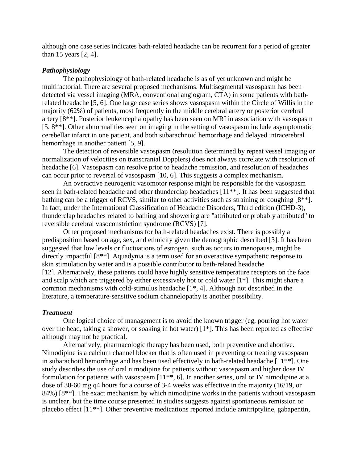although one case series indicates bath-related headache can be recurrent for a period of greater than 15 years [2, 4].

#### *Pathophysiology*

 The pathophysiology of bath-related headache is as of yet unknown and might be multifactorial. There are several proposed mechanisms. Multisegmental vasospasm has been detected via vessel imaging (MRA, conventional angiogram, CTA) in some patients with bathrelated headache [5, 6]. One large case series shows vasospasm within the Circle of Willis in the majority (62%) of patients, most frequently in the middle cerebral artery or posterior cerebral artery [8\*\*]. Posterior leukencephalopathy has been seen on MRI in association with vasospasm [5, 8\*\*]. Other abnormalities seen on imaging in the setting of vasospasm include asymptomatic cerebellar infarct in one patient, and both subarachnoid hemorrhage and delayed intracerebral hemorrhage in another patient [5, 9].

The detection of reversible vasospasm (resolution determined by repeat vessel imaging or normalization of velocities on transcranial Dopplers) does not always correlate with resolution of headache [6]. Vasospasm can resolve prior to headache remission, and resolution of headaches can occur prior to reversal of vasospasm [10, 6]. This suggests a complex mechanism.

An overactive neurogenic vasomotor response might be responsible for the vasospasm seen in bath-related headache and other thunderclap headaches [11\*\*]. It has been suggested that bathing can be a trigger of RCVS, similar to other activities such as straining or coughing [8\*\*]. In fact, under the International Classification of Headache Disorders, Third edition (ICHD-3), thunderclap headaches related to bathing and showering are "attributed or probably attributed" to reversible cerebral vasoconstriction syndrome (RCVS) [7].

 Other proposed mechanisms for bath-related headaches exist. There is possibly a predisposition based on age, sex, and ethnicity given the demographic described [3]. It has been suggested that low levels or fluctuations of estrogen, such as occurs in menopause, might be directly impactful [8\*\*]. Aquadynia is a term used for an overactive sympathetic response to skin stimulation by water and is a possible contributor to bath-related headache [12]. Alternatively, these patients could have highly sensitive temperature receptors on the face and scalp which are triggered by either excessively hot or cold water  $[1^*]$ . This might share a common mechanisms with cold-stimulus headache [1\*, 4]. Although not described in the literature, a temperature-sensitive sodium channelopathy is another possibility.

#### *Treatment*

 One logical choice of management is to avoid the known trigger (eg, pouring hot water over the head, taking a shower, or soaking in hot water) [1\*]. This has been reported as effective although may not be practical.

 Alternatively, pharmacologic therapy has been used, both preventive and abortive. Nimodipine is a calcium channel blocker that is often used in preventing or treating vasospasm in subarachoid hemorrhage and has been used effectively in bath-related headache [11\*\*]. One study describes the use of oral nimodipine for patients without vasospasm and higher dose IV formulation for patients with vasospasm [11\*\*, 6]. In another series, oral or IV nimodipine at a dose of 30-60 mg q4 hours for a course of 3-4 weeks was effective in the majority (16/19, or 84%) [8\*\*]. The exact mechanism by which nimodipine works in the patients without vasospasm is unclear, but the time course presented in studies suggests against spontaneous remission or placebo effect [11\*\*]. Other preventive medications reported include amitriptyline, gabapentin,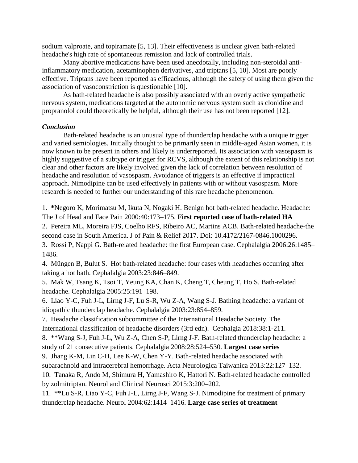sodium valproate, and topiramate [5, 13]. Their effectiveness is unclear given bath-related headache's high rate of spontaneous remission and lack of controlled trials.

 Many abortive medications have been used anecdotally, including non-steroidal antiinflammatory medication, acetaminophen derivatives, and triptans [5, 10]. Most are poorly effective. Triptans have been reported as efficacious, although the safety of using them given the association of vasoconstriction is questionable [10].

As bath-related headache is also possibly associated with an overly active sympathetic nervous system, medications targeted at the autonomic nervous system such as clonidine and propranolol could theoretically be helpful, although their use has not been reported [12].

#### *Conclusion*

Bath-related headache is an unusual type of thunderclap headache with a unique trigger and varied semiologies. Initially thought to be primarily seen in middle-aged Asian women, it is now known to be present in others and likely is underreported. Its association with vasospasm is highly suggestive of a subtype or trigger for RCVS, although the extent of this relationship is not clear and other factors are likely involved given the lack of correlation between resolution of headache and resolution of vasospasm. Avoidance of triggers is an effective if impractical approach. Nimodipine can be used effectively in patients with or without vasospasm. More research is needed to further our understanding of this rare headache phenomenon.

1. **\***Negoro K, Morimatsu M, Ikuta N, Nogaki H. Benign hot bath-related headache. Headache: The J of Head and Face Pain 2000:40:173–175. **First reported case of bath-related HA**

2. Pereira ML, Moreira FJS, Coelho RFS, Ribeiro AC, Martins ACB. Bath-related headache-the second case in South America. J of Pain & Relief 2017. Doi: 10.4172/2167-0846.1000296.

3. Rossi P, Nappi G. Bath-related headache: the first European case. Cephalalgia 2006:26:1485– 1486.

4. Müngen B, Bulut S. Hot bath-related headache: four cases with headaches occurring after taking a hot bath. Cephalalgia 2003:23:846–849.

5. Mak W, Tsang K, Tsoi T, Yeung KA, Chan K, Cheng T, Cheung T, Ho S. Bath-related headache. Cephalalgia 2005:25:191–198.

6. Liao Y-C, Fuh J-L, Lirng J-F, Lu S-R, Wu Z-A, Wang S-J. Bathing headache: a variant of idiopathic thunderclap headache. Cephalalgia 2003:23:854–859.

7. Headache classification subcommittee of the International Headache Society. The International classification of headache disorders (3rd edn). Cephalgia 2018:38:1-211.

8. \*\*Wang S-J, Fuh J-L, Wu Z-A, Chen S-P, Lirng J-F. Bath-related thunderclap headache: a study of 21 consecutive patients. Cephalalgia 2008:28:524–530. **Largest case series**

9. Jhang K-M, Lin C-H, Lee K-W, Chen Y-Y. Bath-related headache associated with

subarachnoid and intracerebral hemorrhage. Acta Neurologica Taiwanica 2013:22:127–132.

10. Tanaka R, Ando M, Shimura H, Yamashiro K, Hattori N. Bath-related headache controlled by zolmitriptan. Neurol and Clinical Neurosci 2015:3:200–202.

11. \*\*Lu S-R, Liao Y-C, Fuh J-L, Lirng J-F, Wang S-J. Nimodipine for treatment of primary thunderclap headache. Neurol 2004:62:1414–1416. **Large case series of treatment**